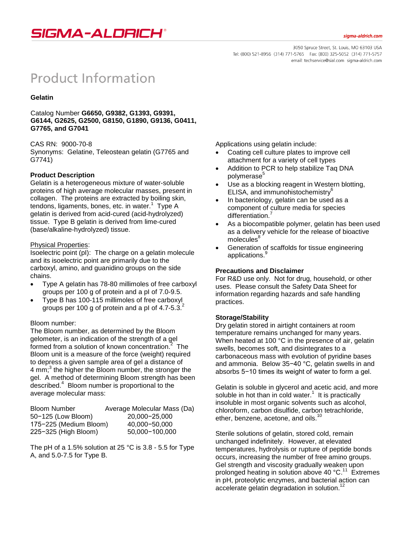# SIGMA-ALDRICH®

3050 Spruce Street, St. Louis, MO 63103 USA Tel: (800) 521-8956 (314) 771-5765 Fax: (800) 325-5052 (314) 771-5757 email: techservice@sial.com sigma-aldrich.com

# **Product Information**

#### **Gelatin**

Catalog Number **G6650, G9382, G1393, G9391, G6144, G2625, G2500, G8150, G1890, G9136, G0411, G7765, and G7041**

#### CAS RN: 9000-70-8

Synonyms: Gelatine, Teleostean gelatin (G7765 and G7741)

# **Product Description**

Gelatin is a heterogeneous mixture of water-soluble proteins of high average molecular masses, present in collagen. The proteins are extracted by boiling skin, tendons, ligaments, bones, etc. in water.<sup>1</sup> Type A gelatin is derived from acid-cured (acid-hydrolyzed) tissue. Type B gelatin is derived from lime-cured (base/alkaline-hydrolyzed) tissue.

# Physical Properties:

Isoelectric point (pI): The charge on a gelatin molecule and its isoelectric point are primarily due to the carboxyl, amino, and guanidino groups on the side chains.

- Type A gelatin has 78-80 millimoles of free carboxyl groups per 100 g of protein and a pI of 7.0-9.5.
- Type B has 100-115 millimoles of free carboxyl groups per 100 g of protein and a pl of 4.7-5.3. $^{2}$

# Bloom number:

The Bloom number, as determined by the Bloom gelometer, is an indication of the strength of a gel formed from a solution of known concentration.<sup>2</sup> The Bloom unit is a measure of the force (weight) required to depress a given sample area of gel a distance of 4 mm;<sup>3</sup> the higher the Bloom number, the stronger the gel. A method of determining Bloom strength has been described.<sup>4</sup> Bloom number is proportional to the average molecular mass:

| <b>Bloom Number</b>    | Average Molecular Mass (Da) |
|------------------------|-----------------------------|
| 50-125 (Low Bloom)     | 20,000-25,000               |
| 175-225 (Medium Bloom) | 40,000-50,000               |
| 225-325 (High Bloom)   | 50,000-100,000              |

The pH of a 1.5% solution at 25 °C is  $3.8$  - 5.5 for Type A, and 5.0-7.5 for Type B.

Applications using gelatin include:

- Coating cell culture plates to improve cell attachment for a variety of cell types
- Addition to PCR to help stabilize Taq DNA polymerase<sup>5</sup>
- Use as a blocking reagent in Western blotting, ELISA, and immunohistochemistry<sup>6</sup>
- In bacteriology, gelatin can be used as a component of culture media for species differentiation.<sup>7</sup>
- As a biocompatible polymer, gelatin has been used as a delivery vehicle for the release of bioactive molecules
- Generation of scaffolds for tissue engineering applications.<sup>9</sup>

### **Precautions and Disclaimer**

For R&D use only. Not for drug, household, or other uses. Please consult the Safety Data Sheet for information regarding hazards and safe handling practices.

#### **Storage/Stability**

Dry gelatin stored in airtight containers at room temperature remains unchanged for many years. When heated at 100 °C in the presence of air, gelatin swells, becomes soft, and disintegrates to a carbonaceous mass with evolution of pyridine bases and ammonia. Below 35−40 °C, gelatin swells in and absorbs 5−10 times its weight of water to form a gel.

Gelatin is soluble in glycerol and acetic acid, and more soluble in hot than in cold water. $1$  It is practically insoluble in most organic solvents such as alcohol, chloroform, carbon disulfide, carbon tetrachloride, ether, benzene, acetone, and oils.<sup>10</sup>

Sterile solutions of gelatin, stored cold, remain unchanged indefinitely. However, at elevated temperatures, hydrolysis or rupture of peptide bonds occurs, increasing the number of free amino groups. Gel strength and viscosity gradually weaken upon prolonged heating in solution above 40 °C.<sup>11</sup> Extremes in pH, proteolytic enzymes, and bacterial action can accelerate gelatin degradation in solution.<sup>12</sup>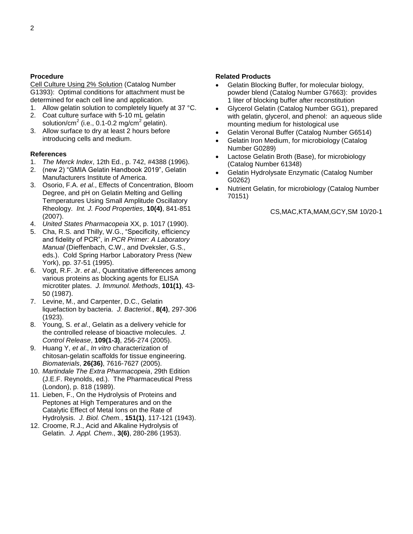#### **Procedure**

Cell Culture Using 2% Solution (Catalog Number G1393): Optimal conditions for attachment must be determined for each cell line and application.

- 1. Allow gelatin solution to completely liquefy at 37 °C.
- 2. Coat culture surface with 5-10 mL gelatin solution/cm<sup>2</sup> (i.e., 0.1-0.2 mg/cm<sup>2</sup> gelatin).
- 3. Allow surface to dry at least 2 hours before introducing cells and medium.

#### **References**

- 1. *The Merck Index*, 12th Ed., p. 742, #4388 (1996).
- 2. (new 2) "GMIA Gelatin Handbook 2019", Gelatin Manufacturers Institute of America.
- 3. Osorio, F.A. *et al*., Effects of Concentration, Bloom Degree, and pH on Gelatin Melting and Gelling Temperatures Using Small Amplitude Oscillatory Rheology. *Int. J. Food Properties*, **10(4)**, 841-851 (2007).
- 4. *United States Pharmacopeia* XX, p. 1017 (1990).
- 5. Cha, R.S. and Thilly, W.G., "Specificity, efficiency and fidelity of PCR", in *PCR Primer: A Laboratory Manual* (Dieffenbach, C.W., and Dveksler, G.S., eds.). Cold Spring Harbor Laboratory Press (New York), pp. 37-51 (1995).
- 6. Vogt, R.F. Jr. *et al*., Quantitative differences among various proteins as blocking agents for ELISA microtiter plates. *J. Immunol. Methods*, **101(1)**, 43- 50 (1987).
- 7. Levine, M., and Carpenter, D.C., Gelatin liquefaction by bacteria. *J. Bacteriol.*, **8(4)**, 297-306 (1923).
- 8. Young, S. *et al*., Gelatin as a delivery vehicle for the controlled release of bioactive molecules. *J. Control Release*, **109(1-3)**, 256-274 (2005).
- 9. Huang Y, *et al*., *In vitro* characterization of chitosan-gelatin scaffolds for tissue engineering. *Biomaterials*, **26(36)**, 7616-7627 (2005).
- 10. *Martindale The Extra Pharmacopeia*, 29th Edition (J.E.F. Reynolds, ed.). The Pharmaceutical Press (London), p. 818 (1989).
- 11. Lieben, F., On the Hydrolysis of Proteins and Peptones at High Temperatures and on the Catalytic Effect of Metal Ions on the Rate of Hydrolysis. *J. Biol. Chem.*, **151(1)**, 117-121 (1943).
- 12. Croome, R.J., Acid and Alkaline Hydrolysis of Gelatin. *J. Appl. Chem*., **3(6)**, 280-286 (1953).

#### **Related Products**

- Gelatin Blocking Buffer, for molecular biology, powder blend (Catalog Number G7663): provides 1 liter of blocking buffer after reconstitution
- Glycerol Gelatin (Catalog Number GG1), prepared with gelatin, glycerol, and phenol: an aqueous slide mounting medium for histological use
- Gelatin Veronal Buffer (Catalog Number G6514)
- Gelatin Iron Medium, for microbiology (Catalog Number G0289)
- Lactose Gelatin Broth (Base), for microbiology (Catalog Number 61348)
- Gelatin Hydrolysate Enzymatic (Catalog Number G0262)
- Nutrient Gelatin, for microbiology (Catalog Number 70151)

CS,MAC,KTA,MAM,GCY,SM 10/20-1